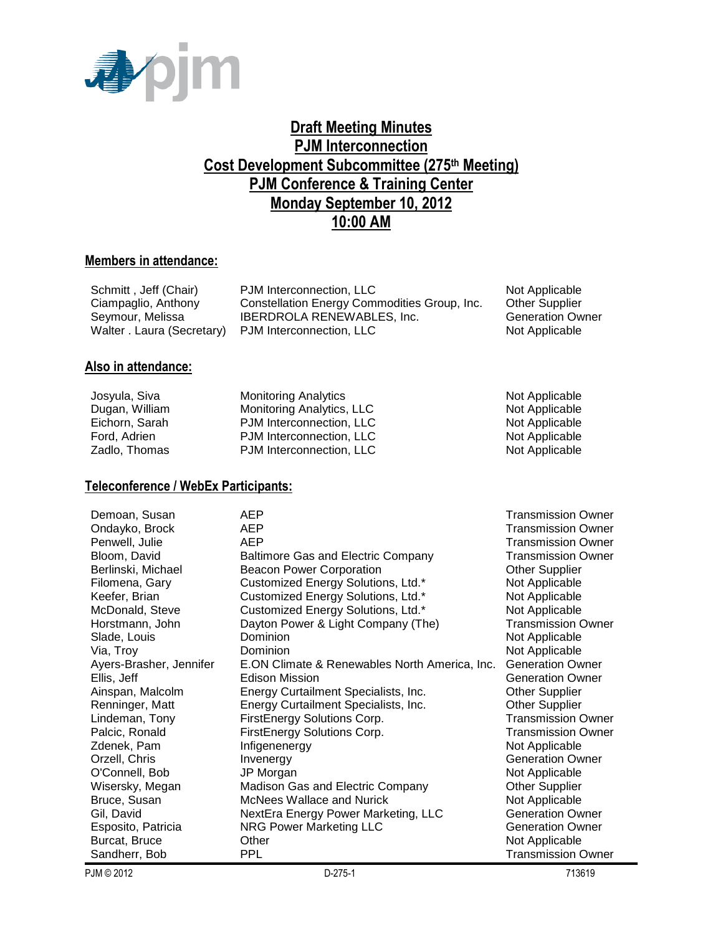

## **Draft Meeting Minutes PJM Interconnection Cost Development Subcommittee (275th Meeting) PJM Conference & Training Center Monday September 10, 2012 10:00 AM**

#### **Members in attendance:**

| Schmitt, Jeff (Chair)                               | PJM Interconnection, LLC                     | Not Applicable          |
|-----------------------------------------------------|----------------------------------------------|-------------------------|
| Ciampaglio, Anthony                                 | Constellation Energy Commodities Group, Inc. | <b>Other Supplier</b>   |
| Seymour, Melissa                                    | <b>IBERDROLA RENEWABLES, Inc.</b>            | <b>Generation Owner</b> |
| Walter . Laura (Secretary) PJM Interconnection, LLC |                                              | Not Applicable          |

#### **Also in attendance:**

| Josyula, Siva  | <b>Monitoring Analytics</b> |
|----------------|-----------------------------|
| Dugan, William | Monitoring Analytics, LLC   |
| Eichorn, Sarah | PJM Interconnection, LLC    |
| Ford, Adrien   | PJM Interconnection, LLC    |
| Zadlo, Thomas  | PJM Interconnection, LLC    |

#### **Teleconference / WebEx Participants:**

| Demoan, Susan           | AEP                                           | Transmission Owner        |
|-------------------------|-----------------------------------------------|---------------------------|
| Ondayko, Brock          | <b>AEP</b>                                    | <b>Transmission Owner</b> |
| Penwell, Julie          | <b>AEP</b>                                    | <b>Transmission Owner</b> |
| Bloom, David            | <b>Baltimore Gas and Electric Company</b>     | <b>Transmission Owner</b> |
| Berlinski, Michael      | <b>Beacon Power Corporation</b>               | <b>Other Supplier</b>     |
| Filomena, Gary          | Customized Energy Solutions, Ltd.*            | Not Applicable            |
| Keefer, Brian           | Customized Energy Solutions, Ltd.*            | Not Applicable            |
| McDonald, Steve         | Customized Energy Solutions, Ltd.*            | Not Applicable            |
| Horstmann, John         | Dayton Power & Light Company (The)            | <b>Transmission Owner</b> |
| Slade, Louis            | Dominion                                      | Not Applicable            |
| Via, Troy               | Dominion                                      | Not Applicable            |
| Ayers-Brasher, Jennifer | E.ON Climate & Renewables North America, Inc. | <b>Generation Owner</b>   |
| Ellis, Jeff             | Edison Mission                                | <b>Generation Owner</b>   |
| Ainspan, Malcolm        | Energy Curtailment Specialists, Inc.          | <b>Other Supplier</b>     |
| Renninger, Matt         | Energy Curtailment Specialists, Inc.          | <b>Other Supplier</b>     |
| Lindeman, Tony          | FirstEnergy Solutions Corp.                   | <b>Transmission Owner</b> |
| Palcic, Ronald          | FirstEnergy Solutions Corp.                   | Transmission Owner        |
| Zdenek, Pam             | Infigenenergy                                 | Not Applicable            |
| Orzell, Chris           | Invenergy                                     | <b>Generation Owner</b>   |
| O'Connell, Bob          | JP Morgan                                     | Not Applicable            |
| Wisersky, Megan         | Madison Gas and Electric Company              | <b>Other Supplier</b>     |
| Bruce, Susan            | McNees Wallace and Nurick                     | Not Applicable            |
| Gil, David              | NextEra Energy Power Marketing, LLC           | <b>Generation Owner</b>   |
| Esposito, Patricia      | <b>NRG Power Marketing LLC</b>                | <b>Generation Owner</b>   |
| Burcat, Bruce           | Other                                         | Not Applicable            |
| Sandherr, Bob           | <b>PPL</b>                                    | Transmission Owner        |

Not Applicable Not Applicable Not Applicable Not Applicable Not Applicable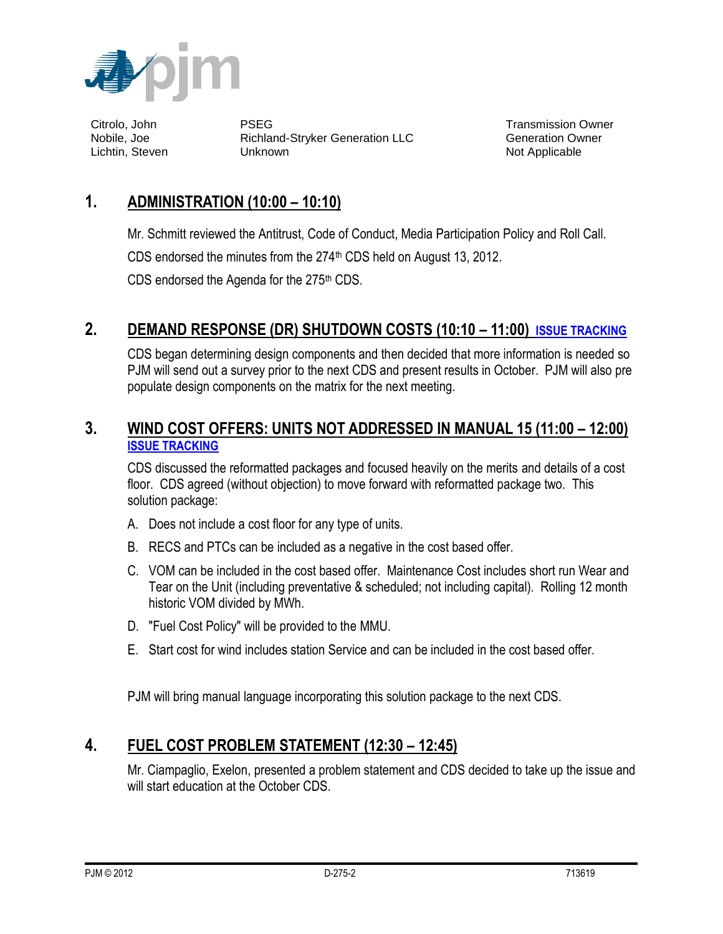

Citrolo, John PSEG Transmission Owner Nobile, Joe Richland-Stryker Generation LLC Generation Owner Lichtin, Steven **Not Applicable** Unknown Not Applicable Not Applicable

# **1. ADMINISTRATION (10:00 – 10:10)**

Mr. Schmitt reviewed the Antitrust, Code of Conduct, Media Participation Policy and Roll Call.

CDS endorsed the minutes from the 274<sup>th</sup> CDS held on August 13, 2012.

CDS endorsed the Agenda for the  $275<sup>th</sup>$  CDS.

# **2. DEMAND RESPONSE (DR) SHUTDOWN COSTS (10:10 – 11:00) [ISSUE TRACKING](http://pjm.com/committees-and-groups/issue-tracking/issue-tracking-details.aspx?Issue=%7bC6D04B33-2DE0-444F-BAF8-6ADD96F053E5%7d)**

CDS began determining design components and then decided that more information is needed so PJM will send out a survey prior to the next CDS and present results in October. PJM will also pre populate design components on the matrix for the next meeting.

### **3. WIND COST OFFERS: UNITS NOT ADDRESSED IN MANUAL 15 (11:00 – 12:00) [ISSUE TRACKING](http://pjm.com/committees-and-groups/issue-tracking/issue-tracking-details.aspx?Issue=%7b3159C1F6-5498-412A-84F2-D4EA3F5834C6%7d)**

CDS discussed the reformatted packages and focused heavily on the merits and details of a cost floor. CDS agreed (without objection) to move forward with reformatted package two. This solution package:

- A. Does not include a cost floor for any type of units.
- B. RECS and PTCs can be included as a negative in the cost based offer.
- C. VOM can be included in the cost based offer. Maintenance Cost includes short run Wear and Tear on the Unit (including preventative & scheduled; not including capital). Rolling 12 month historic VOM divided by MWh.
- D. "Fuel Cost Policy" will be provided to the MMU.
- E. Start cost for wind includes station Service and can be included in the cost based offer.

PJM will bring manual language incorporating this solution package to the next CDS.

# **4. FUEL COST PROBLEM STATEMENT (12:30 – 12:45)**

Mr. Ciampaglio, Exelon, presented a problem statement and CDS decided to take up the issue and will start education at the October CDS.